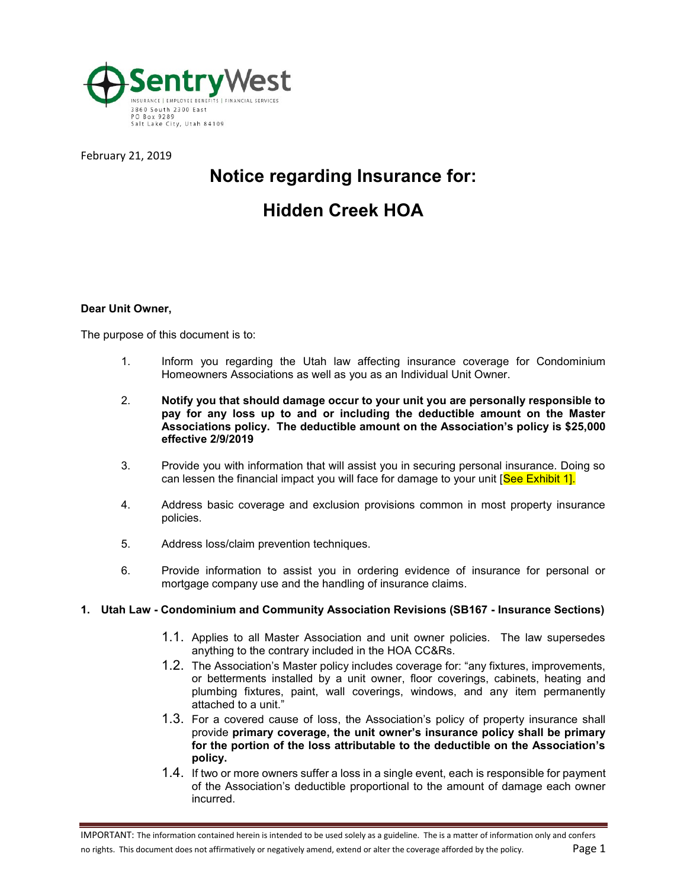

February 21, 2019

# **Notice regarding Insurance for:**

# **Hidden Creek HOA**

### **Dear Unit Owner,**

The purpose of this document is to:

- 1. Inform you regarding the Utah law affecting insurance coverage for Condominium Homeowners Associations as well as you as an Individual Unit Owner.
- 2. **Notify you that should damage occur to your unit you are personally responsible to pay for any loss up to and or including the deductible amount on the Master Associations policy. The deductible amount on the Association's policy is \$25,000 effective 2/9/2019**
- 3. Provide you with information that will assist you in securing personal insurance. Doing so can lessen the financial impact you will face for damage to your unit [See Exhibit 1].
- 4. Address basic coverage and exclusion provisions common in most property insurance policies.
- 5. Address loss/claim prevention techniques.
- 6. Provide information to assist you in ordering evidence of insurance for personal or mortgage company use and the handling of insurance claims.

#### **1. Utah Law - Condominium and Community Association Revisions (SB167 - Insurance Sections)**

- 1.1. Applies to all Master Association and unit owner policies. The law supersedes anything to the contrary included in the HOA CC&Rs.
- 1.2. The Association's Master policy includes coverage for: "any fixtures, improvements, or betterments installed by a unit owner, floor coverings, cabinets, heating and plumbing fixtures, paint, wall coverings, windows, and any item permanently attached to a unit.'
- 1.3. For a covered cause of loss, the Association's policy of property insurance shall provide **primary coverage, the unit owner's insurance policy shall be primary for the portion of the loss attributable to the deductible on the Association's policy.**
- 1.4. If two or more owners suffer a loss in a single event, each is responsible for payment of the Association's deductible proportional to the amount of damage each owner incurred.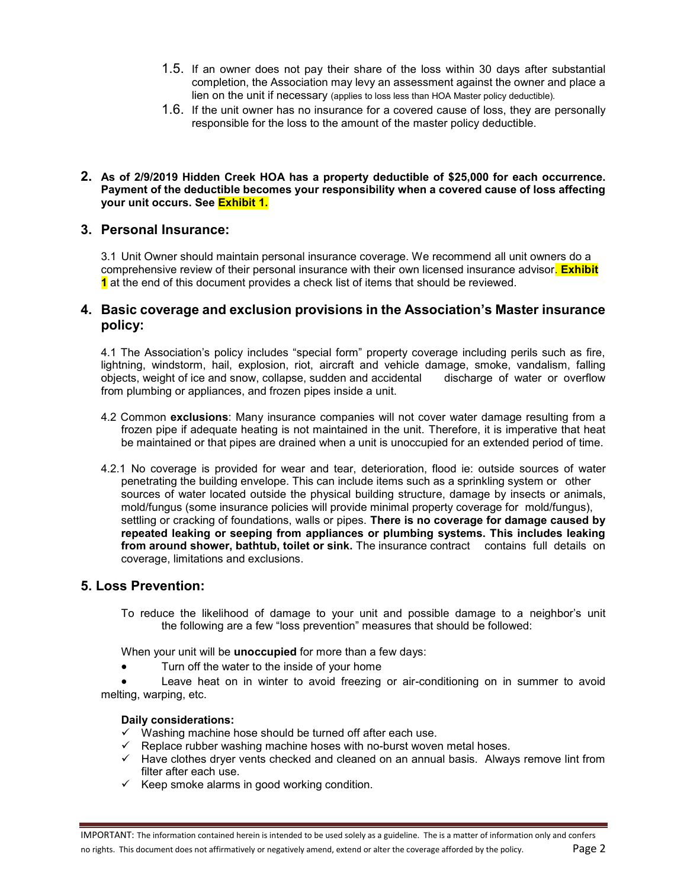- 1.5. If an owner does not pay their share of the loss within 30 days after substantial completion, the Association may levy an assessment against the owner and place a lien on the unit if necessary (applies to loss less than HOA Master policy deductible).
- 1.6. If the unit owner has no insurance for a covered cause of loss, they are personally responsible for the loss to the amount of the master policy deductible.

#### **2. As of 2/9/2019 Hidden Creek HOA has a property deductible of \$25,000 for each occurrence. Payment of the deductible becomes your responsibility when a covered cause of loss affecting your unit occurs. See Exhibit 1.**

## **3. Personal Insurance:**

3.1 Unit Owner should maintain personal insurance coverage. We recommend all unit owners do a comprehensive review of their personal insurance with their own licensed insurance advisor. **Exhibit 1** at the end of this document provides a check list of items that should be reviewed.

## **4. Basic coverage and exclusion provisions in the Association's Master insurance policy:**

4.1 The Association's policy includes "special form" property coverage including perils such as fire, lightning, windstorm, hail, explosion, riot, aircraft and vehicle damage, smoke, vandalism, falling objects, weight of ice and snow, collapse, sudden and accidental discharge of water or overflow from plumbing or appliances, and frozen pipes inside a unit.

- 4.2 Common **exclusions**: Many insurance companies will not cover water damage resulting from a frozen pipe if adequate heating is not maintained in the unit. Therefore, it is imperative that heat be maintained or that pipes are drained when a unit is unoccupied for an extended period of time.
- 4.2.1 No coverage is provided for wear and tear, deterioration, flood ie: outside sources of water penetrating the building envelope. This can include items such as a sprinkling system or other sources of water located outside the physical building structure, damage by insects or animals, mold/fungus (some insurance policies will provide minimal property coverage for mold/fungus), settling or cracking of foundations, walls or pipes. **There is no coverage for damage caused by repeated leaking or seeping from appliances or plumbing systems. This includes leaking from around shower, bathtub, toilet or sink.** The insurance contract contains full details on coverage, limitations and exclusions.

## **5. Loss Prevention:**

To reduce the likelihood of damage to your unit and possible damage to a neighbor's unit the following are a few "loss prevention" measures that should be followed:

When your unit will be **unoccupied** for more than a few days:

Turn off the water to the inside of your home

• Leave heat on in winter to avoid freezing or air-conditioning on in summer to avoid melting, warping, etc.

#### **Daily considerations:**

- ✓ Washing machine hose should be turned off after each use.
- ✓ Replace rubber washing machine hoses with no-burst woven metal hoses.
- ✓ Have clothes dryer vents checked and cleaned on an annual basis. Always remove lint from filter after each use.
- $\checkmark$  Keep smoke alarms in good working condition.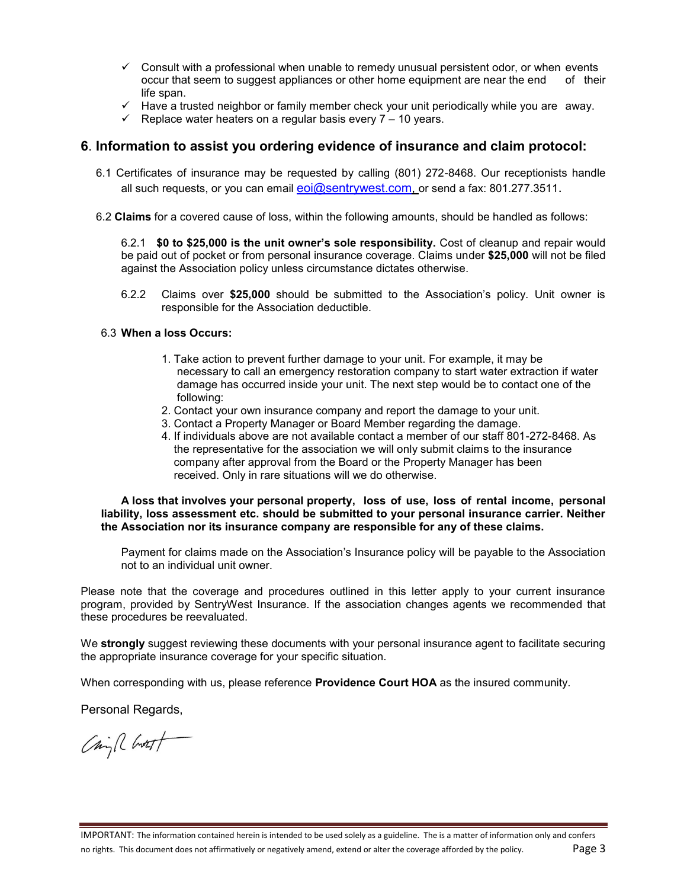- $\checkmark$  Consult with a professional when unable to remedy unusual persistent odor, or when events occur that seem to suggest appliances or other home equipment are near the end of their life span.
- ✓ Have a trusted neighbor or family member check your unit periodically while you are away.
- $\checkmark$  Replace water heaters on a regular basis every  $7 10$  years.

## **6**. **Information to assist you ordering evidence of insurance and claim protocol:**

- 6.1 Certificates of insurance may be requested by calling (801) 272-8468. Our receptionists handle all such requests, or you can email  $eoi@sentrywest.com$ , or send a fax: 801.277.3511.
- 6.2 **Claims** for a covered cause of loss, within the following amounts, should be handled as follows:

6.2.1 **\$0 to \$25,000 is the unit owner's sole responsibility.** Cost of cleanup and repair would be paid out of pocket or from personal insurance coverage. Claims under **\$25,000** will not be filed against the Association policy unless circumstance dictates otherwise.

6.2.2 Claims over **\$25,000** should be submitted to the Association's policy. Unit owner is responsible for the Association deductible.

### 6.3 **When a loss Occurs:**

- 1. Take action to prevent further damage to your unit. For example, it may be necessary to call an emergency restoration company to start water extraction if water damage has occurred inside your unit. The next step would be to contact one of the following:
- 2. Contact your own insurance company and report the damage to your unit.
- 3. Contact a Property Manager or Board Member regarding the damage.
- 4. If individuals above are not available contact a member of our staff 801-272-8468. As the representative for the association we will only submit claims to the insurance company after approval from the Board or the Property Manager has been received. Only in rare situations will we do otherwise.

**A loss that involves your personal property, loss of use, loss of rental income, personal liability, loss assessment etc. should be submitted to your personal insurance carrier. Neither the Association nor its insurance company are responsible for any of these claims.**

Payment for claims made on the Association's Insurance policy will be payable to the Association not to an individual unit owner.

Please note that the coverage and procedures outlined in this letter apply to your current insurance program, provided by SentryWest Insurance. If the association changes agents we recommended that these procedures be reevaluated.

We **strongly** suggest reviewing these documents with your personal insurance agent to facilitate securing the appropriate insurance coverage for your specific situation.

When corresponding with us, please reference **Providence Court HOA** as the insured community.

Personal Regards,

China Chott